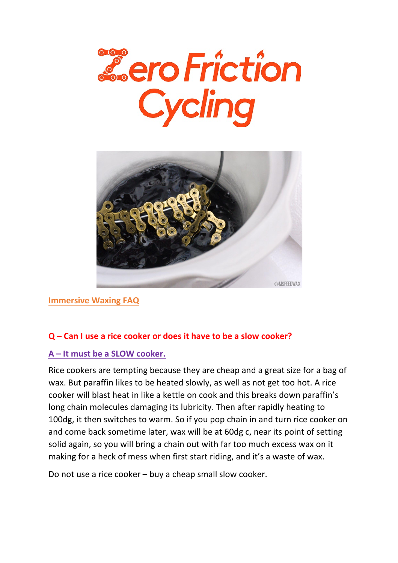



**Immersive Waxing FAQ**

#### **Q – Can I use a rice cooker or does it have to be a slow cooker?**

#### **A – It must be a SLOW cooker.**

Rice cookers are tempting because they are cheap and a great size for a bag of wax. But paraffin likes to be heated slowly, as well as not get too hot. A rice cooker will blast heat in like a kettle on cook and this breaks down paraffin's long chain molecules damaging its lubricity. Then after rapidly heating to 100dg, it then switches to warm. So if you pop chain in and turn rice cooker on and come back sometime later, wax will be at 60dg c, near its point of setting solid again, so you will bring a chain out with far too much excess wax on it making for a heck of mess when first start riding, and it's a waste of wax.

Do not use a rice cooker – buy a cheap small slow cooker.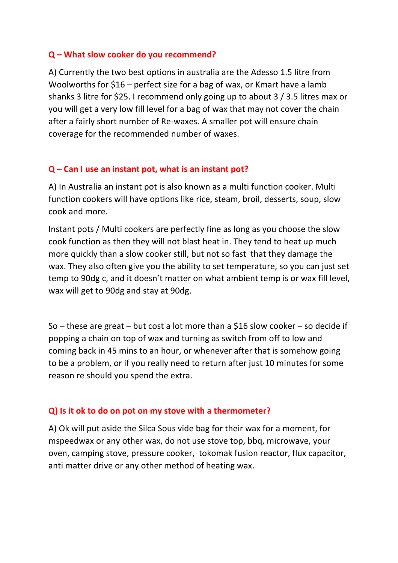#### **Q – What slow cooker do you recommend?**

A) Currently the two best options in australia are the Adesso 1.5 litre from Woolworths for \$16 – perfect size for a bag of wax, or Kmart have a lamb shanks 3 litre for \$25. I recommend only going up to about 3 / 3.5 litres max or you will get a very low fill level for a bag of wax that may not cover the chain after a fairly short number of Re-waxes. A smaller pot will ensure chain coverage for the recommended number of waxes.

#### **Q – Can I use an instant pot, what is an instant pot?**

A) In Australia an instant pot is also known as a multi function cooker. Multi function cookers will have options like rice, steam, broil, desserts, soup, slow cook and more.

Instant pots / Multi cookers are perfectly fine as long as you choose the slow cook function as then they will not blast heat in. They tend to heat up much more quickly than a slow cooker still, but not so fast that they damage the wax. They also often give you the ability to set temperature, so you can just set temp to 90dg c, and it doesn't matter on what ambient temp is or wax fill level, wax will get to 90dg and stay at 90dg.

So – these are great – but cost a lot more than a \$16 slow cooker – so decide if popping a chain on top of wax and turning as switch from off to low and coming back in 45 mins to an hour, or whenever after that is somehow going to be a problem, or if you really need to return after just 10 minutes for some reason re should you spend the extra.

#### **Q) Is it ok to do on pot on my stove with a thermometer?**

A) Ok will put aside the Silca Sous vide bag for their wax for a moment, for mspeedwax or any other wax, do not use stove top, bbq, microwave, your oven, camping stove, pressure cooker, tokomak fusion reactor, flux capacitor, anti matter drive or any other method of heating wax.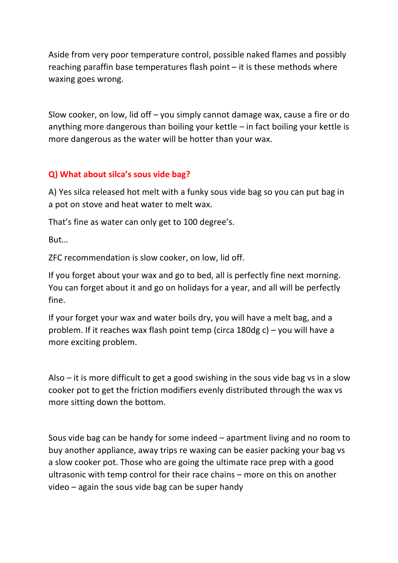Aside from very poor temperature control, possible naked flames and possibly reaching paraffin base temperatures flash point – it is these methods where waxing goes wrong.

Slow cooker, on low, lid off – you simply cannot damage wax, cause a fire or do anything more dangerous than boiling your kettle – in fact boiling your kettle is more dangerous as the water will be hotter than your wax.

### **Q) What about silca's sous vide bag?**

A) Yes silca released hot melt with a funky sous vide bag so you can put bag in a pot on stove and heat water to melt wax.

That's fine as water can only get to 100 degree's.

But…

ZFC recommendation is slow cooker, on low, lid off.

If you forget about your wax and go to bed, all is perfectly fine next morning. You can forget about it and go on holidays for a year, and all will be perfectly fine.

If your forget your wax and water boils dry, you will have a melt bag, and a problem. If it reaches wax flash point temp (circa 180dg c) – you will have a more exciting problem.

Also – it is more difficult to get a good swishing in the sous vide bag vs in a slow cooker pot to get the friction modifiers evenly distributed through the wax vs more sitting down the bottom.

Sous vide bag can be handy for some indeed – apartment living and no room to buy another appliance, away trips re waxing can be easier packing your bag vs a slow cooker pot. Those who are going the ultimate race prep with a good ultrasonic with temp control for their race chains – more on this on another video – again the sous vide bag can be super handy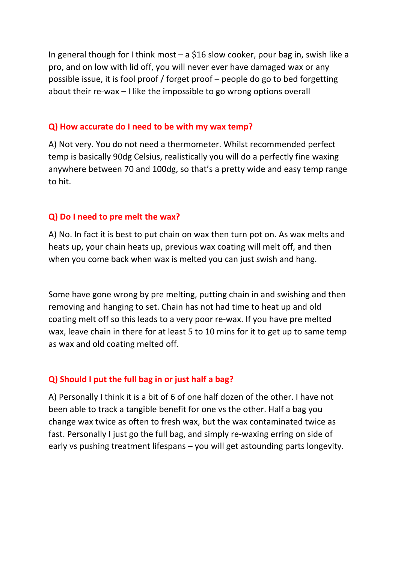In general though for I think most  $-$  a \$16 slow cooker, pour bag in, swish like a pro, and on low with lid off, you will never ever have damaged wax or any possible issue, it is fool proof / forget proof – people do go to bed forgetting about their re-wax – I like the impossible to go wrong options overall

#### **Q) How accurate do I need to be with my wax temp?**

A) Not very. You do not need a thermometer. Whilst recommended perfect temp is basically 90dg Celsius, realistically you will do a perfectly fine waxing anywhere between 70 and 100dg, so that's a pretty wide and easy temp range to hit.

## **Q) Do I need to pre melt the wax?**

A) No. In fact it is best to put chain on wax then turn pot on. As wax melts and heats up, your chain heats up, previous wax coating will melt off, and then when you come back when wax is melted you can just swish and hang.

Some have gone wrong by pre melting, putting chain in and swishing and then removing and hanging to set. Chain has not had time to heat up and old coating melt off so this leads to a very poor re-wax. If you have pre melted wax, leave chain in there for at least 5 to 10 mins for it to get up to same temp as wax and old coating melted off.

## **Q) Should I put the full bag in or just half a bag?**

A) Personally I think it is a bit of 6 of one half dozen of the other. I have not been able to track a tangible benefit for one vs the other. Half a bag you change wax twice as often to fresh wax, but the wax contaminated twice as fast. Personally I just go the full bag, and simply re-waxing erring on side of early vs pushing treatment lifespans – you will get astounding parts longevity.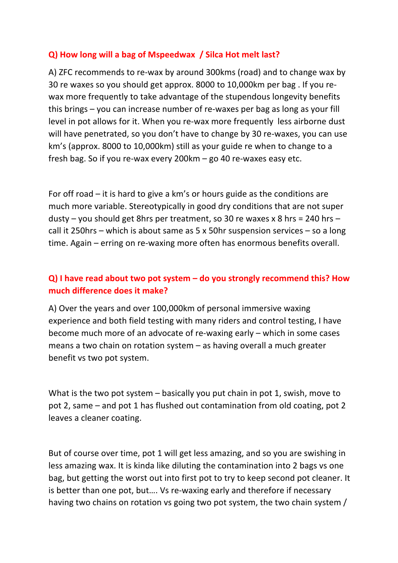### **Q) How long will a bag of Mspeedwax / Silca Hot melt last?**

A) ZFC recommends to re-wax by around 300kms (road) and to change wax by 30 re waxes so you should get approx. 8000 to 10,000km per bag . If you rewax more frequently to take advantage of the stupendous longevity benefits this brings – you can increase number of re-waxes per bag as long as your fill level in pot allows for it. When you re-wax more frequently less airborne dust will have penetrated, so you don't have to change by 30 re-waxes, you can use km's (approx. 8000 to 10,000km) still as your guide re when to change to a fresh bag. So if you re-wax every 200km – go 40 re-waxes easy etc.

For off road – it is hard to give a km's or hours guide as the conditions are much more variable. Stereotypically in good dry conditions that are not super dusty – you should get 8hrs per treatment, so 30 re waxes x 8 hrs = 240 hrs – call it 250hrs – which is about same as 5 x 50hr suspension services – so a long time. Again – erring on re-waxing more often has enormous benefits overall.

# **Q) I have read about two pot system – do you strongly recommend this? How much difference does it make?**

A) Over the years and over 100,000km of personal immersive waxing experience and both field testing with many riders and control testing, I have become much more of an advocate of re-waxing early – which in some cases means a two chain on rotation system – as having overall a much greater benefit vs two pot system.

What is the two pot system – basically you put chain in pot 1, swish, move to pot 2, same – and pot 1 has flushed out contamination from old coating, pot 2 leaves a cleaner coating.

But of course over time, pot 1 will get less amazing, and so you are swishing in less amazing wax. It is kinda like diluting the contamination into 2 bags vs one bag, but getting the worst out into first pot to try to keep second pot cleaner. It is better than one pot, but…. Vs re-waxing early and therefore if necessary having two chains on rotation vs going two pot system, the two chain system /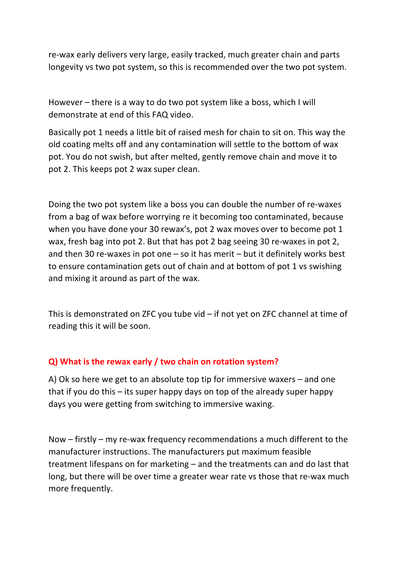re-wax early delivers very large, easily tracked, much greater chain and parts longevity vs two pot system, so this is recommended over the two pot system.

However – there is a way to do two pot system like a boss, which I will demonstrate at end of this FAQ video.

Basically pot 1 needs a little bit of raised mesh for chain to sit on. This way the old coating melts off and any contamination will settle to the bottom of wax pot. You do not swish, but after melted, gently remove chain and move it to pot 2. This keeps pot 2 wax super clean.

Doing the two pot system like a boss you can double the number of re-waxes from a bag of wax before worrying re it becoming too contaminated, because when you have done your 30 rewax's, pot 2 wax moves over to become pot 1 wax, fresh bag into pot 2. But that has pot 2 bag seeing 30 re-waxes in pot 2, and then 30 re-waxes in pot one  $-$  so it has merit  $-$  but it definitely works best to ensure contamination gets out of chain and at bottom of pot 1 vs swishing and mixing it around as part of the wax.

This is demonstrated on ZFC you tube vid – if not yet on ZFC channel at time of reading this it will be soon.

#### **Q) What is the rewax early / two chain on rotation system?**

A) Ok so here we get to an absolute top tip for immersive waxers – and one that if you do this – its super happy days on top of the already super happy days you were getting from switching to immersive waxing.

Now – firstly – my re-wax frequency recommendations a much different to the manufacturer instructions. The manufacturers put maximum feasible treatment lifespans on for marketing – and the treatments can and do last that long, but there will be over time a greater wear rate vs those that re-wax much more frequently.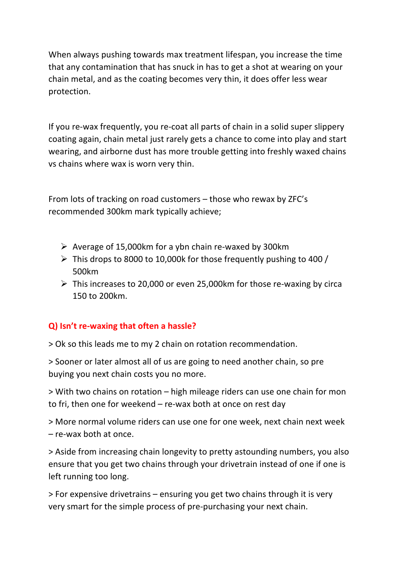When always pushing towards max treatment lifespan, you increase the time that any contamination that has snuck in has to get a shot at wearing on your chain metal, and as the coating becomes very thin, it does offer less wear protection.

If you re-wax frequently, you re-coat all parts of chain in a solid super slippery coating again, chain metal just rarely gets a chance to come into play and start wearing, and airborne dust has more trouble getting into freshly waxed chains vs chains where wax is worn very thin.

From lots of tracking on road customers – those who rewax by ZFC's recommended 300km mark typically achieve;

- $\triangleright$  Average of 15,000km for a ybn chain re-waxed by 300km
- $\triangleright$  This drops to 8000 to 10,000k for those frequently pushing to 400 / 500km
- $\triangleright$  This increases to 20,000 or even 25,000km for those re-waxing by circa 150 to 200km.

## **Q) Isn't re-waxing that often a hassle?**

> Ok so this leads me to my 2 chain on rotation recommendation.

> Sooner or later almost all of us are going to need another chain, so pre buying you next chain costs you no more.

> With two chains on rotation – high mileage riders can use one chain for mon to fri, then one for weekend – re-wax both at once on rest day

> More normal volume riders can use one for one week, next chain next week – re-wax both at once.

> Aside from increasing chain longevity to pretty astounding numbers, you also ensure that you get two chains through your drivetrain instead of one if one is left running too long.

> For expensive drivetrains – ensuring you get two chains through it is very very smart for the simple process of pre-purchasing your next chain.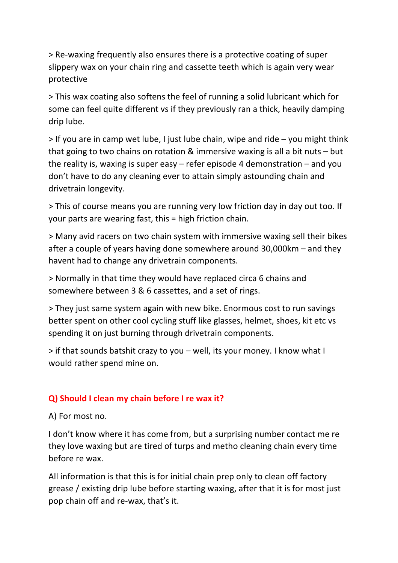> Re-waxing frequently also ensures there is a protective coating of super slippery wax on your chain ring and cassette teeth which is again very wear protective

> This wax coating also softens the feel of running a solid lubricant which for some can feel quite different vs if they previously ran a thick, heavily damping drip lube.

> If you are in camp wet lube, I just lube chain, wipe and ride – you might think that going to two chains on rotation & immersive waxing is all a bit nuts – but the reality is, waxing is super easy – refer episode 4 demonstration – and you don't have to do any cleaning ever to attain simply astounding chain and drivetrain longevity.

> This of course means you are running very low friction day in day out too. If your parts are wearing fast, this = high friction chain.

> Many avid racers on two chain system with immersive waxing sell their bikes after a couple of years having done somewhere around 30,000km – and they havent had to change any drivetrain components.

> Normally in that time they would have replaced circa 6 chains and somewhere between 3 & 6 cassettes, and a set of rings.

> They just same system again with new bike. Enormous cost to run savings better spent on other cool cycling stuff like glasses, helmet, shoes, kit etc vs spending it on just burning through drivetrain components.

> if that sounds batshit crazy to you – well, its your money. I know what I would rather spend mine on.

## **Q) Should I clean my chain before I re wax it?**

A) For most no.

I don't know where it has come from, but a surprising number contact me re they love waxing but are tired of turps and metho cleaning chain every time before re wax.

All information is that this is for initial chain prep only to clean off factory grease / existing drip lube before starting waxing, after that it is for most just pop chain off and re-wax, that's it.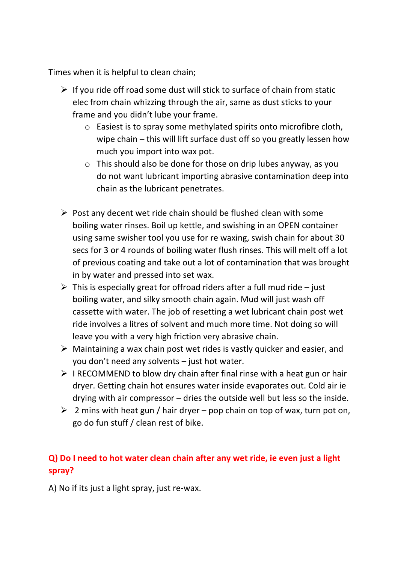Times when it is helpful to clean chain;

- $\triangleright$  If you ride off road some dust will stick to surface of chain from static elec from chain whizzing through the air, same as dust sticks to your frame and you didn't lube your frame.
	- o Easiest is to spray some methylated spirits onto microfibre cloth, wipe chain – this will lift surface dust off so you greatly lessen how much you import into wax pot.
	- $\circ$  This should also be done for those on drip lubes anyway, as you do not want lubricant importing abrasive contamination deep into chain as the lubricant penetrates.
- $\triangleright$  Post any decent wet ride chain should be flushed clean with some boiling water rinses. Boil up kettle, and swishing in an OPEN container using same swisher tool you use for re waxing, swish chain for about 30 secs for 3 or 4 rounds of boiling water flush rinses. This will melt off a lot of previous coating and take out a lot of contamination that was brought in by water and pressed into set wax.
- $\triangleright$  This is especially great for offroad riders after a full mud ride just boiling water, and silky smooth chain again. Mud will just wash off cassette with water. The job of resetting a wet lubricant chain post wet ride involves a litres of solvent and much more time. Not doing so will leave you with a very high friction very abrasive chain.
- $\triangleright$  Maintaining a wax chain post wet rides is vastly quicker and easier, and you don't need any solvents – just hot water.
- $\triangleright$  I RECOMMEND to blow dry chain after final rinse with a heat gun or hair dryer. Getting chain hot ensures water inside evaporates out. Cold air ie drying with air compressor – dries the outside well but less so the inside.
- $\geq 2$  mins with heat gun / hair dryer pop chain on top of wax, turn pot on, go do fun stuff / clean rest of bike.

# **Q) Do I need to hot water clean chain after any wet ride, ie even just a light spray?**

A) No if its just a light spray, just re-wax.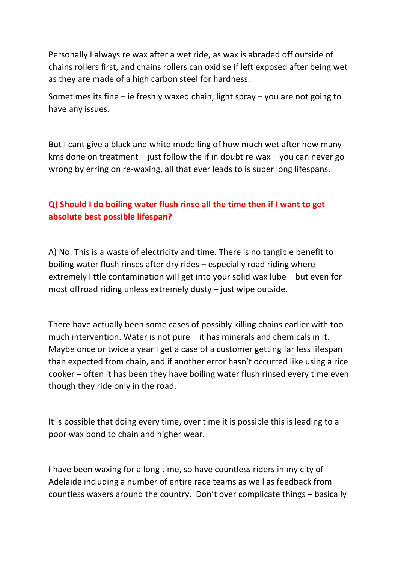Personally I always re wax after a wet ride, as wax is abraded off outside of chains rollers first, and chains rollers can oxidise if left exposed after being wet as they are made of a high carbon steel for hardness.

Sometimes its fine – ie freshly waxed chain, light spray – you are not going to have any issues.

But I cant give a black and white modelling of how much wet after how many kms done on treatment – just follow the if in doubt re wax – you can never go wrong by erring on re-waxing, all that ever leads to is super long lifespans.

# **Q) Should I do boiling water flush rinse all the time then if I want to get absolute best possible lifespan?**

A) No. This is a waste of electricity and time. There is no tangible benefit to boiling water flush rinses after dry rides – especially road riding where extremely little contamination will get into your solid wax lube – but even for most offroad riding unless extremely dusty – just wipe outside.

There have actually been some cases of possibly killing chains earlier with too much intervention. Water is not pure – it has minerals and chemicals in it. Maybe once or twice a year I get a case of a customer getting far less lifespan than expected from chain, and if another error hasn't occurred like using a rice cooker – often it has been they have boiling water flush rinsed every time even though they ride only in the road.

It is possible that doing every time, over time it is possible this is leading to a poor wax bond to chain and higher wear.

I have been waxing for a long time, so have countless riders in my city of Adelaide including a number of entire race teams as well as feedback from countless waxers around the country. Don't over complicate things – basically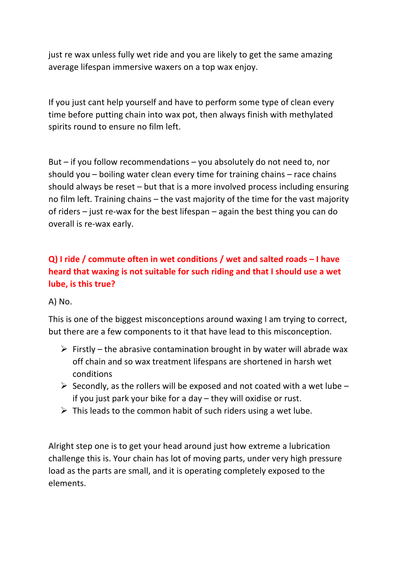just re wax unless fully wet ride and you are likely to get the same amazing average lifespan immersive waxers on a top wax enjoy.

If you just cant help yourself and have to perform some type of clean every time before putting chain into wax pot, then always finish with methylated spirits round to ensure no film left.

But – if you follow recommendations – you absolutely do not need to, nor should you – boiling water clean every time for training chains – race chains should always be reset – but that is a more involved process including ensuring no film left. Training chains – the vast majority of the time for the vast majority of riders – just re-wax for the best lifespan – again the best thing you can do overall is re-wax early.

# **Q) I ride / commute often in wet conditions / wet and salted roads – I have heard that waxing is not suitable for such riding and that I should use a wet lube, is this true?**

A) No.

This is one of the biggest misconceptions around waxing I am trying to correct, but there are a few components to it that have lead to this misconception.

- $\triangleright$  Firstly the abrasive contamination brought in by water will abrade wax off chain and so wax treatment lifespans are shortened in harsh wet conditions
- $\triangleright$  Secondly, as the rollers will be exposed and not coated with a wet lube if you just park your bike for a day – they will oxidise or rust.
- $\triangleright$  This leads to the common habit of such riders using a wet lube.

Alright step one is to get your head around just how extreme a lubrication challenge this is. Your chain has lot of moving parts, under very high pressure load as the parts are small, and it is operating completely exposed to the elements.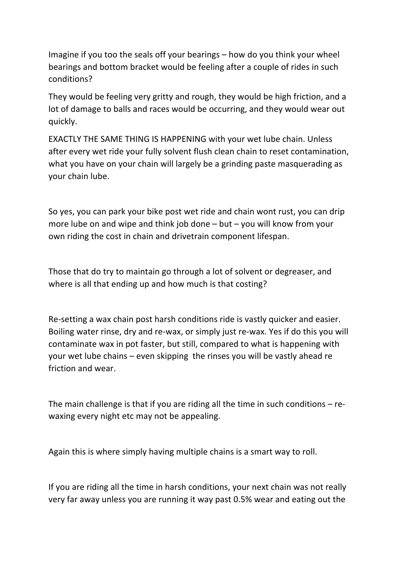Imagine if you too the seals off your bearings – how do you think your wheel bearings and bottom bracket would be feeling after a couple of rides in such conditions?

They would be feeling very gritty and rough, they would be high friction, and a lot of damage to balls and races would be occurring, and they would wear out quickly.

EXACTLY THE SAME THING IS HAPPENING with your wet lube chain. Unless after every wet ride your fully solvent flush clean chain to reset contamination, what you have on your chain will largely be a grinding paste masquerading as your chain lube.

So yes, you can park your bike post wet ride and chain wont rust, you can drip more lube on and wipe and think job done – but – you will know from your own riding the cost in chain and drivetrain component lifespan.

Those that do try to maintain go through a lot of solvent or degreaser, and where is all that ending up and how much is that costing?

Re-setting a wax chain post harsh conditions ride is vastly quicker and easier. Boiling water rinse, dry and re-wax, or simply just re-wax. Yes if do this you will contaminate wax in pot faster, but still, compared to what is happening with your wet lube chains – even skipping the rinses you will be vastly ahead re friction and wear.

The main challenge is that if you are riding all the time in such conditions – rewaxing every night etc may not be appealing.

Again this is where simply having multiple chains is a smart way to roll.

If you are riding all the time in harsh conditions, your next chain was not really very far away unless you are running it way past 0.5% wear and eating out the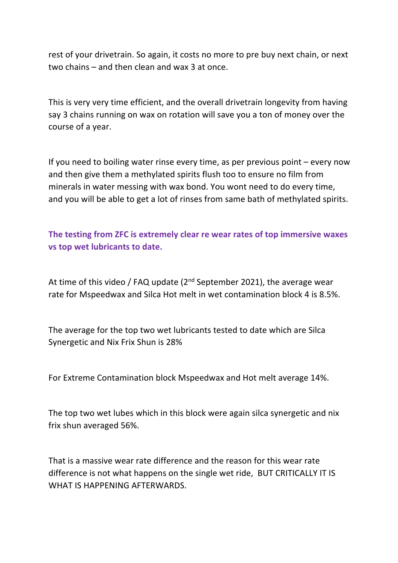rest of your drivetrain. So again, it costs no more to pre buy next chain, or next two chains – and then clean and wax 3 at once.

This is very very time efficient, and the overall drivetrain longevity from having say 3 chains running on wax on rotation will save you a ton of money over the course of a year.

If you need to boiling water rinse every time, as per previous point – every now and then give them a methylated spirits flush too to ensure no film from minerals in water messing with wax bond. You wont need to do every time, and you will be able to get a lot of rinses from same bath of methylated spirits.

**The testing from ZFC is extremely clear re wear rates of top immersive waxes vs top wet lubricants to date.** 

At time of this video / FAQ update  $(2<sup>nd</sup>$  September 2021), the average wear rate for Mspeedwax and Silca Hot melt in wet contamination block 4 is 8.5%.

The average for the top two wet lubricants tested to date which are Silca Synergetic and Nix Frix Shun is 28%

For Extreme Contamination block Mspeedwax and Hot melt average 14%.

The top two wet lubes which in this block were again silca synergetic and nix frix shun averaged 56%.

That is a massive wear rate difference and the reason for this wear rate difference is not what happens on the single wet ride, BUT CRITICALLY IT IS WHAT IS HAPPENING AFTERWARDS.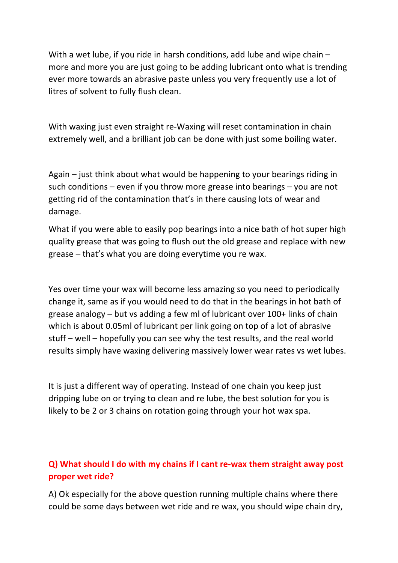With a wet lube, if you ride in harsh conditions, add lube and wipe chain – more and more you are just going to be adding lubricant onto what is trending ever more towards an abrasive paste unless you very frequently use a lot of litres of solvent to fully flush clean.

With waxing just even straight re-Waxing will reset contamination in chain extremely well, and a brilliant job can be done with just some boiling water.

Again – just think about what would be happening to your bearings riding in such conditions – even if you throw more grease into bearings – you are not getting rid of the contamination that's in there causing lots of wear and damage.

What if you were able to easily pop bearings into a nice bath of hot super high quality grease that was going to flush out the old grease and replace with new grease – that's what you are doing everytime you re wax.

Yes over time your wax will become less amazing so you need to periodically change it, same as if you would need to do that in the bearings in hot bath of grease analogy – but vs adding a few ml of lubricant over 100+ links of chain which is about 0.05ml of lubricant per link going on top of a lot of abrasive stuff – well – hopefully you can see why the test results, and the real world results simply have waxing delivering massively lower wear rates vs wet lubes.

It is just a different way of operating. Instead of one chain you keep just dripping lube on or trying to clean and re lube, the best solution for you is likely to be 2 or 3 chains on rotation going through your hot wax spa.

# **Q) What should I do with my chains if I cant re-wax them straight away post proper wet ride?**

A) Ok especially for the above question running multiple chains where there could be some days between wet ride and re wax, you should wipe chain dry,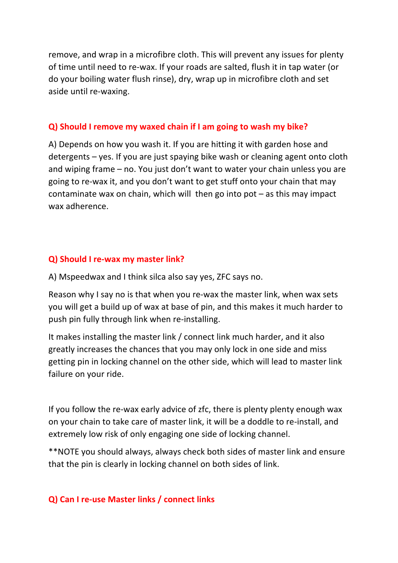remove, and wrap in a microfibre cloth. This will prevent any issues for plenty of time until need to re-wax. If your roads are salted, flush it in tap water (or do your boiling water flush rinse), dry, wrap up in microfibre cloth and set aside until re-waxing.

#### **Q) Should I remove my waxed chain if I am going to wash my bike?**

A) Depends on how you wash it. If you are hitting it with garden hose and detergents – yes. If you are just spaying bike wash or cleaning agent onto cloth and wiping frame – no. You just don't want to water your chain unless you are going to re-wax it, and you don't want to get stuff onto your chain that may contaminate wax on chain, which will then go into  $pot - as$  this may impact wax adherence.

#### **Q) Should I re-wax my master link?**

A) Mspeedwax and I think silca also say yes, ZFC says no.

Reason why I say no is that when you re-wax the master link, when wax sets you will get a build up of wax at base of pin, and this makes it much harder to push pin fully through link when re-installing.

It makes installing the master link / connect link much harder, and it also greatly increases the chances that you may only lock in one side and miss getting pin in locking channel on the other side, which will lead to master link failure on your ride.

If you follow the re-wax early advice of zfc, there is plenty plenty enough wax on your chain to take care of master link, it will be a doddle to re-install, and extremely low risk of only engaging one side of locking channel.

\*\*NOTE you should always, always check both sides of master link and ensure that the pin is clearly in locking channel on both sides of link.

## **Q) Can I re-use Master links / connect links**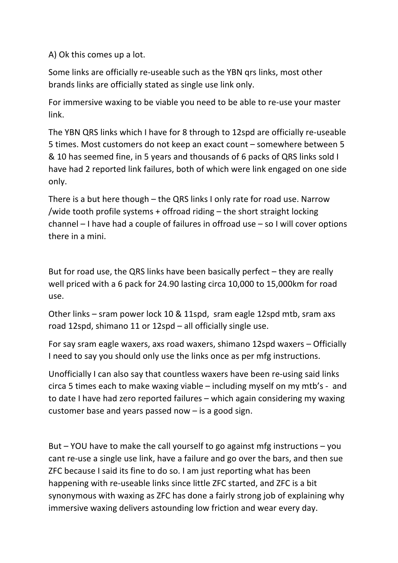A) Ok this comes up a lot.

Some links are officially re-useable such as the YBN qrs links, most other brands links are officially stated as single use link only.

For immersive waxing to be viable you need to be able to re-use your master link.

The YBN QRS links which I have for 8 through to 12spd are officially re-useable 5 times. Most customers do not keep an exact count – somewhere between 5 & 10 has seemed fine, in 5 years and thousands of 6 packs of QRS links sold I have had 2 reported link failures, both of which were link engaged on one side only.

There is a but here though – the QRS links I only rate for road use. Narrow /wide tooth profile systems + offroad riding – the short straight locking channel – I have had a couple of failures in offroad use – so I will cover options there in a mini.

But for road use, the QRS links have been basically perfect – they are really well priced with a 6 pack for 24.90 lasting circa 10,000 to 15,000km for road use.

Other links – sram power lock 10 & 11spd, sram eagle 12spd mtb, sram axs road 12spd, shimano 11 or 12spd – all officially single use.

For say sram eagle waxers, axs road waxers, shimano 12spd waxers – Officially I need to say you should only use the links once as per mfg instructions.

Unofficially I can also say that countless waxers have been re-using said links circa 5 times each to make waxing viable – including myself on my mtb's - and to date I have had zero reported failures – which again considering my waxing customer base and years passed now – is a good sign.

But – YOU have to make the call yourself to go against mfg instructions – you cant re-use a single use link, have a failure and go over the bars, and then sue ZFC because I said its fine to do so. I am just reporting what has been happening with re-useable links since little ZFC started, and ZFC is a bit synonymous with waxing as ZFC has done a fairly strong job of explaining why immersive waxing delivers astounding low friction and wear every day.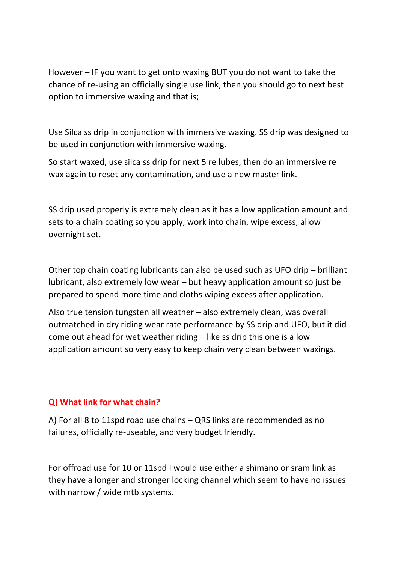However – IF you want to get onto waxing BUT you do not want to take the chance of re-using an officially single use link, then you should go to next best option to immersive waxing and that is;

Use Silca ss drip in conjunction with immersive waxing. SS drip was designed to be used in conjunction with immersive waxing.

So start waxed, use silca ss drip for next 5 re lubes, then do an immersive re wax again to reset any contamination, and use a new master link.

SS drip used properly is extremely clean as it has a low application amount and sets to a chain coating so you apply, work into chain, wipe excess, allow overnight set.

Other top chain coating lubricants can also be used such as UFO drip – brilliant lubricant, also extremely low wear – but heavy application amount so just be prepared to spend more time and cloths wiping excess after application.

Also true tension tungsten all weather – also extremely clean, was overall outmatched in dry riding wear rate performance by SS drip and UFO, but it did come out ahead for wet weather riding – like ss drip this one is a low application amount so very easy to keep chain very clean between waxings.

#### **Q) What link for what chain?**

A) For all 8 to 11spd road use chains – QRS links are recommended as no failures, officially re-useable, and very budget friendly.

For offroad use for 10 or 11spd I would use either a shimano or sram link as they have a longer and stronger locking channel which seem to have no issues with narrow / wide mtb systems.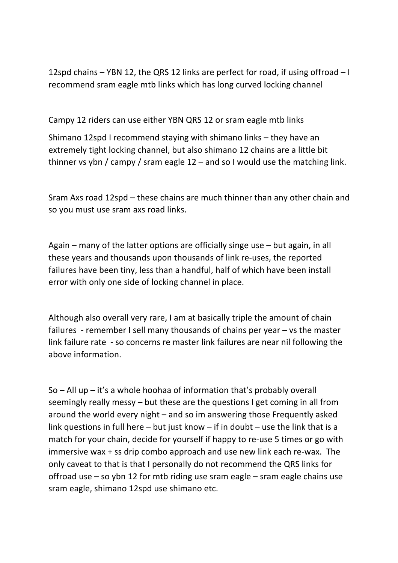12spd chains – YBN 12, the QRS 12 links are perfect for road, if using offroad – I recommend sram eagle mtb links which has long curved locking channel

Campy 12 riders can use either YBN QRS 12 or sram eagle mtb links

Shimano 12spd I recommend staying with shimano links – they have an extremely tight locking channel, but also shimano 12 chains are a little bit thinner vs ybn / campy / sram eagle 12 – and so I would use the matching link.

Sram Axs road 12spd – these chains are much thinner than any other chain and so you must use sram axs road links.

Again – many of the latter options are officially singe use – but again, in all these years and thousands upon thousands of link re-uses, the reported failures have been tiny, less than a handful, half of which have been install error with only one side of locking channel in place.

Although also overall very rare, I am at basically triple the amount of chain failures - remember I sell many thousands of chains per year – vs the master link failure rate - so concerns re master link failures are near nil following the above information.

So – All up – it's a whole hoohaa of information that's probably overall seemingly really messy – but these are the questions I get coming in all from around the world every night – and so im answering those Frequently asked link questions in full here – but just know – if in doubt – use the link that is a match for your chain, decide for yourself if happy to re-use 5 times or go with immersive wax + ss drip combo approach and use new link each re-wax. The only caveat to that is that I personally do not recommend the QRS links for offroad use – so ybn 12 for mtb riding use sram eagle – sram eagle chains use sram eagle, shimano 12spd use shimano etc.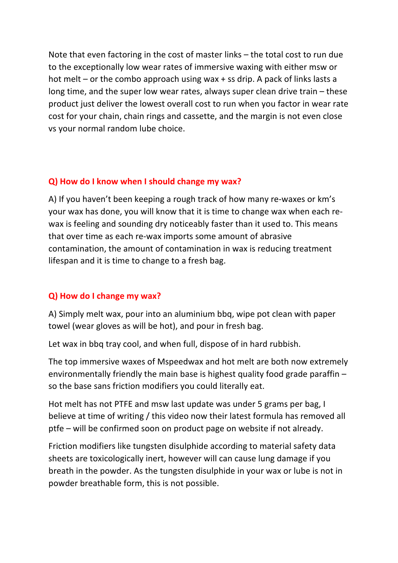Note that even factoring in the cost of master links – the total cost to run due to the exceptionally low wear rates of immersive waxing with either msw or hot melt – or the combo approach using wax + ss drip. A pack of links lasts a long time, and the super low wear rates, always super clean drive train – these product just deliver the lowest overall cost to run when you factor in wear rate cost for your chain, chain rings and cassette, and the margin is not even close vs your normal random lube choice.

### **Q) How do I know when I should change my wax?**

A) If you haven't been keeping a rough track of how many re-waxes or km's your wax has done, you will know that it is time to change wax when each rewax is feeling and sounding dry noticeably faster than it used to. This means that over time as each re-wax imports some amount of abrasive contamination, the amount of contamination in wax is reducing treatment lifespan and it is time to change to a fresh bag.

#### **Q) How do I change my wax?**

A) Simply melt wax, pour into an aluminium bbq, wipe pot clean with paper towel (wear gloves as will be hot), and pour in fresh bag.

Let wax in bbq tray cool, and when full, dispose of in hard rubbish.

The top immersive waxes of Mspeedwax and hot melt are both now extremely environmentally friendly the main base is highest quality food grade paraffin – so the base sans friction modifiers you could literally eat.

Hot melt has not PTFE and msw last update was under 5 grams per bag, I believe at time of writing / this video now their latest formula has removed all ptfe – will be confirmed soon on product page on website if not already.

Friction modifiers like tungsten disulphide according to material safety data sheets are toxicologically inert, however will can cause lung damage if you breath in the powder. As the tungsten disulphide in your wax or lube is not in powder breathable form, this is not possible.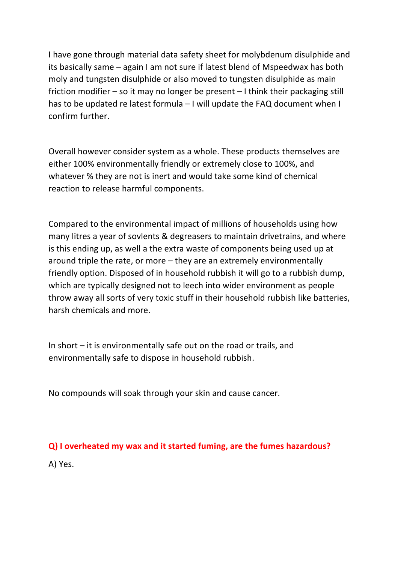I have gone through material data safety sheet for molybdenum disulphide and its basically same – again I am not sure if latest blend of Mspeedwax has both moly and tungsten disulphide or also moved to tungsten disulphide as main friction modifier – so it may no longer be present – I think their packaging still has to be updated re latest formula – I will update the FAQ document when I confirm further.

Overall however consider system as a whole. These products themselves are either 100% environmentally friendly or extremely close to 100%, and whatever % they are not is inert and would take some kind of chemical reaction to release harmful components.

Compared to the environmental impact of millions of households using how many litres a year of sovlents & degreasers to maintain drivetrains, and where is this ending up, as well a the extra waste of components being used up at around triple the rate, or more – they are an extremely environmentally friendly option. Disposed of in household rubbish it will go to a rubbish dump, which are typically designed not to leech into wider environment as people throw away all sorts of very toxic stuff in their household rubbish like batteries, harsh chemicals and more.

In short – it is environmentally safe out on the road or trails, and environmentally safe to dispose in household rubbish.

No compounds will soak through your skin and cause cancer.

#### **Q) I overheated my wax and it started fuming, are the fumes hazardous?**

A) Yes.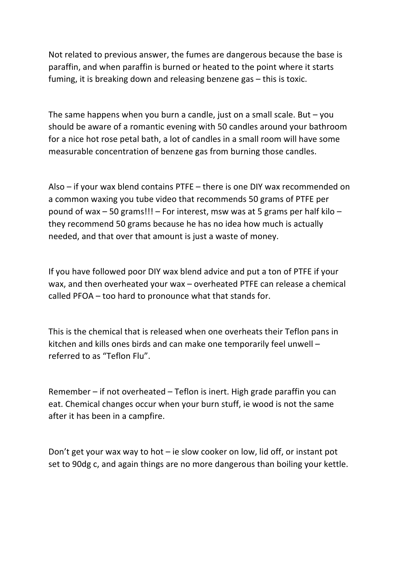Not related to previous answer, the fumes are dangerous because the base is paraffin, and when paraffin is burned or heated to the point where it starts fuming, it is breaking down and releasing benzene gas – this is toxic.

The same happens when you burn a candle, just on a small scale. But  $-$  you should be aware of a romantic evening with 50 candles around your bathroom for a nice hot rose petal bath, a lot of candles in a small room will have some measurable concentration of benzene gas from burning those candles.

Also – if your wax blend contains PTFE – there is one DIY wax recommended on a common waxing you tube video that recommends 50 grams of PTFE per pound of wax – 50 grams!!! – For interest, msw was at 5 grams per half kilo – they recommend 50 grams because he has no idea how much is actually needed, and that over that amount is just a waste of money.

If you have followed poor DIY wax blend advice and put a ton of PTFE if your wax, and then overheated your wax – overheated PTFE can release a chemical called PFOA – too hard to pronounce what that stands for.

This is the chemical that is released when one overheats their Teflon pans in kitchen and kills ones birds and can make one temporarily feel unwell – referred to as "Teflon Flu".

Remember – if not overheated – Teflon is inert. High grade paraffin you can eat. Chemical changes occur when your burn stuff, ie wood is not the same after it has been in a campfire.

Don't get your wax way to hot – ie slow cooker on low, lid off, or instant pot set to 90dg c, and again things are no more dangerous than boiling your kettle.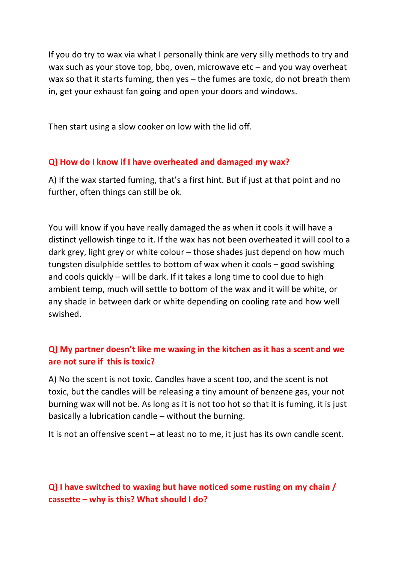If you do try to wax via what I personally think are very silly methods to try and wax such as your stove top, bbq, oven, microwave etc – and you way overheat wax so that it starts fuming, then yes – the fumes are toxic, do not breath them in, get your exhaust fan going and open your doors and windows.

Then start using a slow cooker on low with the lid off.

#### **Q) How do I know if I have overheated and damaged my wax?**

A) If the wax started fuming, that's a first hint. But if just at that point and no further, often things can still be ok.

You will know if you have really damaged the as when it cools it will have a distinct yellowish tinge to it. If the wax has not been overheated it will cool to a dark grey, light grey or white colour – those shades just depend on how much tungsten disulphide settles to bottom of wax when it cools – good swishing and cools quickly – will be dark. If it takes a long time to cool due to high ambient temp, much will settle to bottom of the wax and it will be white, or any shade in between dark or white depending on cooling rate and how well swished.

# **Q) My partner doesn't like me waxing in the kitchen as it has a scent and we are not sure if this is toxic?**

A) No the scent is not toxic. Candles have a scent too, and the scent is not toxic, but the candles will be releasing a tiny amount of benzene gas, your not burning wax will not be. As long as it is not too hot so that it is fuming, it is just basically a lubrication candle – without the burning.

It is not an offensive scent – at least no to me, it just has its own candle scent.

**Q) I have switched to waxing but have noticed some rusting on my chain / cassette – why is this? What should I do?**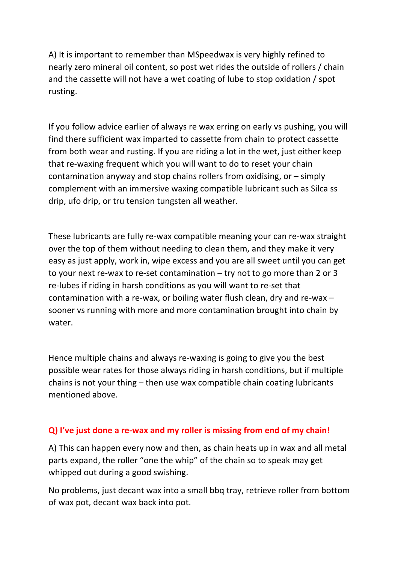A) It is important to remember than MSpeedwax is very highly refined to nearly zero mineral oil content, so post wet rides the outside of rollers / chain and the cassette will not have a wet coating of lube to stop oxidation / spot rusting.

If you follow advice earlier of always re wax erring on early vs pushing, you will find there sufficient wax imparted to cassette from chain to protect cassette from both wear and rusting. If you are riding a lot in the wet, just either keep that re-waxing frequent which you will want to do to reset your chain contamination anyway and stop chains rollers from oxidising, or – simply complement with an immersive waxing compatible lubricant such as Silca ss drip, ufo drip, or tru tension tungsten all weather.

These lubricants are fully re-wax compatible meaning your can re-wax straight over the top of them without needing to clean them, and they make it very easy as just apply, work in, wipe excess and you are all sweet until you can get to your next re-wax to re-set contamination – try not to go more than 2 or 3 re-lubes if riding in harsh conditions as you will want to re-set that contamination with a re-wax, or boiling water flush clean, dry and re-wax – sooner vs running with more and more contamination brought into chain by water.

Hence multiple chains and always re-waxing is going to give you the best possible wear rates for those always riding in harsh conditions, but if multiple chains is not your thing – then use wax compatible chain coating lubricants mentioned above.

#### **Q) I've just done a re-wax and my roller is missing from end of my chain!**

A) This can happen every now and then, as chain heats up in wax and all metal parts expand, the roller "one the whip" of the chain so to speak may get whipped out during a good swishing.

No problems, just decant wax into a small bbq tray, retrieve roller from bottom of wax pot, decant wax back into pot.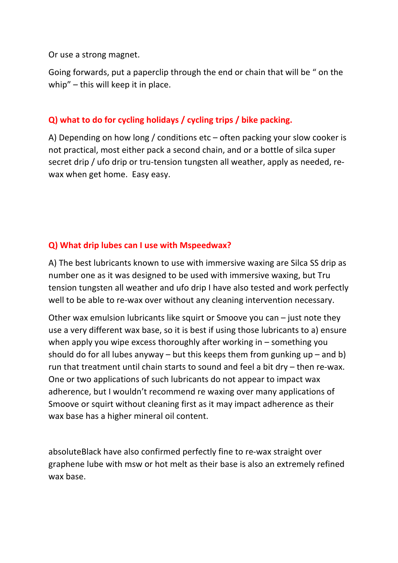Or use a strong magnet.

Going forwards, put a paperclip through the end or chain that will be " on the whip" – this will keep it in place.

# **Q) what to do for cycling holidays / cycling trips / bike packing.**

A) Depending on how long / conditions etc – often packing your slow cooker is not practical, most either pack a second chain, and or a bottle of silca super secret drip / ufo drip or tru-tension tungsten all weather, apply as needed, rewax when get home. Easy easy.

## **Q) What drip lubes can I use with Mspeedwax?**

A) The best lubricants known to use with immersive waxing are Silca SS drip as number one as it was designed to be used with immersive waxing, but Tru tension tungsten all weather and ufo drip I have also tested and work perfectly well to be able to re-wax over without any cleaning intervention necessary.

Other wax emulsion lubricants like squirt or Smoove you can – just note they use a very different wax base, so it is best if using those lubricants to a) ensure when apply you wipe excess thoroughly after working in – something you should do for all lubes anyway – but this keeps them from gunking  $up$  – and b) run that treatment until chain starts to sound and feel a bit dry – then re-wax. One or two applications of such lubricants do not appear to impact wax adherence, but I wouldn't recommend re waxing over many applications of Smoove or squirt without cleaning first as it may impact adherence as their wax base has a higher mineral oil content.

absoluteBlack have also confirmed perfectly fine to re-wax straight over graphene lube with msw or hot melt as their base is also an extremely refined wax base.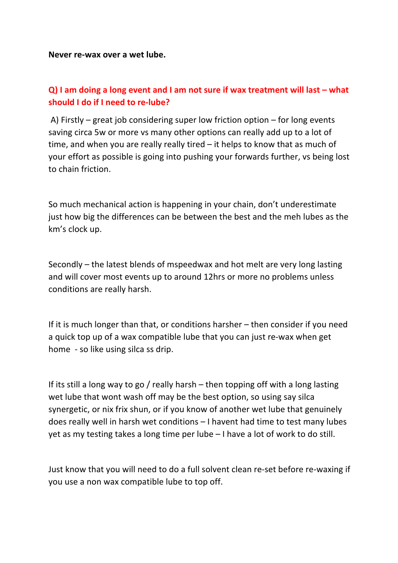**Never re-wax over a wet lube.** 

# **Q) I am doing a long event and I am not sure if wax treatment will last – what should I do if I need to re-lube?**

A) Firstly – great job considering super low friction option – for long events saving circa 5w or more vs many other options can really add up to a lot of time, and when you are really really tired – it helps to know that as much of your effort as possible is going into pushing your forwards further, vs being lost to chain friction.

So much mechanical action is happening in your chain, don't underestimate just how big the differences can be between the best and the meh lubes as the km's clock up.

Secondly – the latest blends of mspeedwax and hot melt are very long lasting and will cover most events up to around 12hrs or more no problems unless conditions are really harsh.

If it is much longer than that, or conditions harsher – then consider if you need a quick top up of a wax compatible lube that you can just re-wax when get home - so like using silca ss drip.

If its still a long way to go / really harsh – then topping off with a long lasting wet lube that wont wash off may be the best option, so using say silca synergetic, or nix frix shun, or if you know of another wet lube that genuinely does really well in harsh wet conditions – I havent had time to test many lubes yet as my testing takes a long time per lube – I have a lot of work to do still.

Just know that you will need to do a full solvent clean re-set before re-waxing if you use a non wax compatible lube to top off.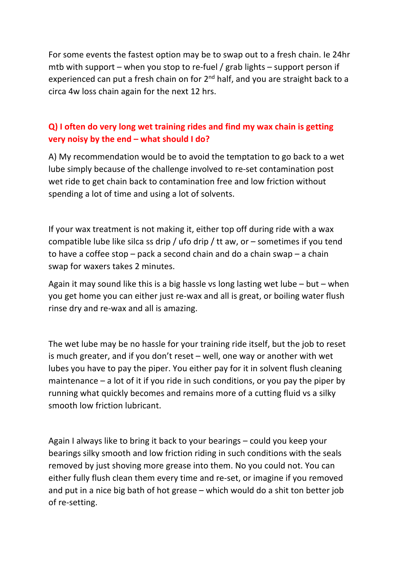For some events the fastest option may be to swap out to a fresh chain. Ie 24hr mtb with support – when you stop to re-fuel / grab lights – support person if experienced can put a fresh chain on for  $2<sup>nd</sup>$  half, and you are straight back to a circa 4w loss chain again for the next 12 hrs.

# **Q) I often do very long wet training rides and find my wax chain is getting very noisy by the end – what should I do?**

A) My recommendation would be to avoid the temptation to go back to a wet lube simply because of the challenge involved to re-set contamination post wet ride to get chain back to contamination free and low friction without spending a lot of time and using a lot of solvents.

If your wax treatment is not making it, either top off during ride with a wax compatible lube like silca ss drip / ufo drip / tt aw, or – sometimes if you tend to have a coffee stop – pack a second chain and do a chain swap – a chain swap for waxers takes 2 minutes.

Again it may sound like this is a big hassle vs long lasting wet lube – but – when you get home you can either just re-wax and all is great, or boiling water flush rinse dry and re-wax and all is amazing.

The wet lube may be no hassle for your training ride itself, but the job to reset is much greater, and if you don't reset – well, one way or another with wet lubes you have to pay the piper. You either pay for it in solvent flush cleaning maintenance – a lot of it if you ride in such conditions, or you pay the piper by running what quickly becomes and remains more of a cutting fluid vs a silky smooth low friction lubricant.

Again I always like to bring it back to your bearings – could you keep your bearings silky smooth and low friction riding in such conditions with the seals removed by just shoving more grease into them. No you could not. You can either fully flush clean them every time and re-set, or imagine if you removed and put in a nice big bath of hot grease – which would do a shit ton better job of re-setting.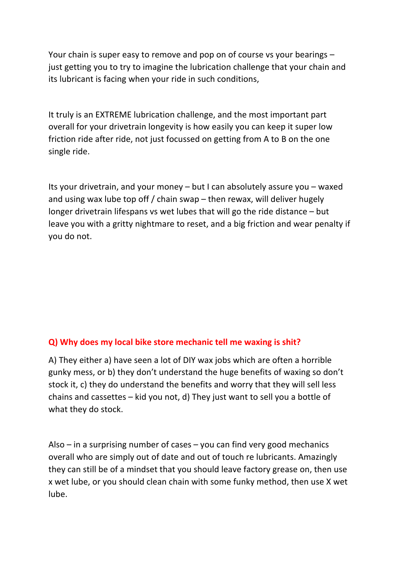Your chain is super easy to remove and pop on of course vs your bearings – just getting you to try to imagine the lubrication challenge that your chain and its lubricant is facing when your ride in such conditions,

It truly is an EXTREME lubrication challenge, and the most important part overall for your drivetrain longevity is how easily you can keep it super low friction ride after ride, not just focussed on getting from A to B on the one single ride.

Its your drivetrain, and your money – but I can absolutely assure you – waxed and using wax lube top off / chain swap – then rewax, will deliver hugely longer drivetrain lifespans vs wet lubes that will go the ride distance – but leave you with a gritty nightmare to reset, and a big friction and wear penalty if you do not.

#### **Q) Why does my local bike store mechanic tell me waxing is shit?**

A) They either a) have seen a lot of DIY wax jobs which are often a horrible gunky mess, or b) they don't understand the huge benefits of waxing so don't stock it, c) they do understand the benefits and worry that they will sell less chains and cassettes – kid you not, d) They just want to sell you a bottle of what they do stock.

Also – in a surprising number of cases – you can find very good mechanics overall who are simply out of date and out of touch re lubricants. Amazingly they can still be of a mindset that you should leave factory grease on, then use x wet lube, or you should clean chain with some funky method, then use X wet lube.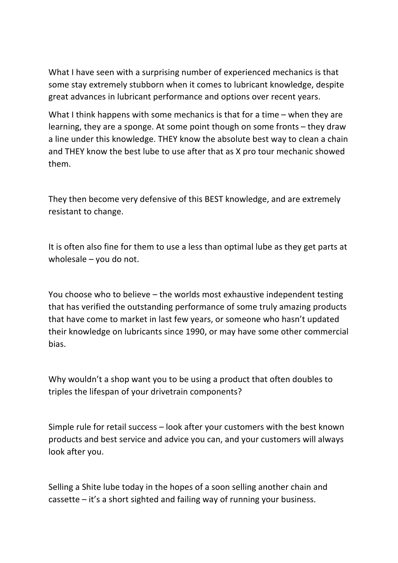What I have seen with a surprising number of experienced mechanics is that some stay extremely stubborn when it comes to lubricant knowledge, despite great advances in lubricant performance and options over recent years.

What I think happens with some mechanics is that for a time – when they are learning, they are a sponge. At some point though on some fronts – they draw a line under this knowledge. THEY know the absolute best way to clean a chain and THEY know the best lube to use after that as X pro tour mechanic showed them.

They then become very defensive of this BEST knowledge, and are extremely resistant to change.

It is often also fine for them to use a less than optimal lube as they get parts at wholesale – you do not.

You choose who to believe – the worlds most exhaustive independent testing that has verified the outstanding performance of some truly amazing products that have come to market in last few years, or someone who hasn't updated their knowledge on lubricants since 1990, or may have some other commercial bias.

Why wouldn't a shop want you to be using a product that often doubles to triples the lifespan of your drivetrain components?

Simple rule for retail success – look after your customers with the best known products and best service and advice you can, and your customers will always look after you.

Selling a Shite lube today in the hopes of a soon selling another chain and cassette – it's a short sighted and failing way of running your business.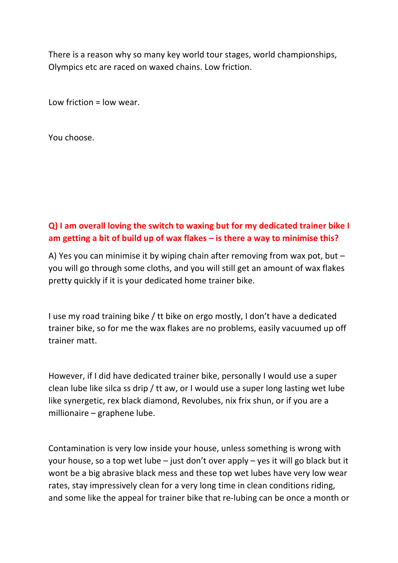There is a reason why so many key world tour stages, world championships, Olympics etc are raced on waxed chains. Low friction.

Low friction = low wear.

You choose.

# **Q) I am overall loving the switch to waxing but for my dedicated trainer bike I am getting a bit of build up of wax flakes – is there a way to minimise this?**

A) Yes you can minimise it by wiping chain after removing from wax pot, but – you will go through some cloths, and you will still get an amount of wax flakes pretty quickly if it is your dedicated home trainer bike.

I use my road training bike / tt bike on ergo mostly, I don't have a dedicated trainer bike, so for me the wax flakes are no problems, easily vacuumed up off trainer matt.

However, if I did have dedicated trainer bike, personally I would use a super clean lube like silca ss drip / tt aw, or I would use a super long lasting wet lube like synergetic, rex black diamond, Revolubes, nix frix shun, or if you are a millionaire – graphene lube.

Contamination is very low inside your house, unless something is wrong with your house, so a top wet lube – just don't over apply – yes it will go black but it wont be a big abrasive black mess and these top wet lubes have very low wear rates, stay impressively clean for a very long time in clean conditions riding, and some like the appeal for trainer bike that re-lubing can be once a month or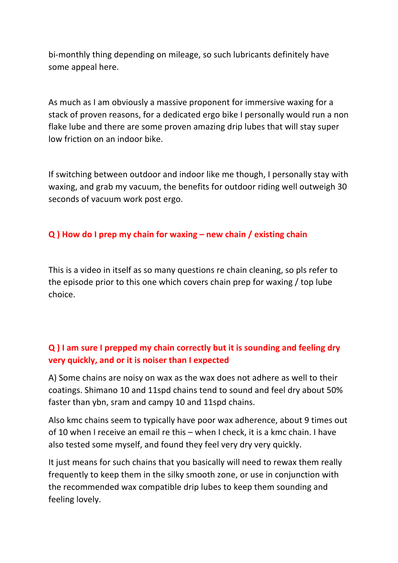bi-monthly thing depending on mileage, so such lubricants definitely have some appeal here.

As much as I am obviously a massive proponent for immersive waxing for a stack of proven reasons, for a dedicated ergo bike I personally would run a non flake lube and there are some proven amazing drip lubes that will stay super low friction on an indoor bike.

If switching between outdoor and indoor like me though, I personally stay with waxing, and grab my vacuum, the benefits for outdoor riding well outweigh 30 seconds of vacuum work post ergo.

### **Q ) How do I prep my chain for waxing – new chain / existing chain**

This is a video in itself as so many questions re chain cleaning, so pls refer to the episode prior to this one which covers chain prep for waxing / top lube choice.

# **Q ) I am sure I prepped my chain correctly but it is sounding and feeling dry very quickly, and or it is noiser than I expected**

A) Some chains are noisy on wax as the wax does not adhere as well to their coatings. Shimano 10 and 11spd chains tend to sound and feel dry about 50% faster than ybn, sram and campy 10 and 11spd chains.

Also kmc chains seem to typically have poor wax adherence, about 9 times out of 10 when I receive an email re this – when I check, it is a kmc chain. I have also tested some myself, and found they feel very dry very quickly.

It just means for such chains that you basically will need to rewax them really frequently to keep them in the silky smooth zone, or use in conjunction with the recommended wax compatible drip lubes to keep them sounding and feeling lovely.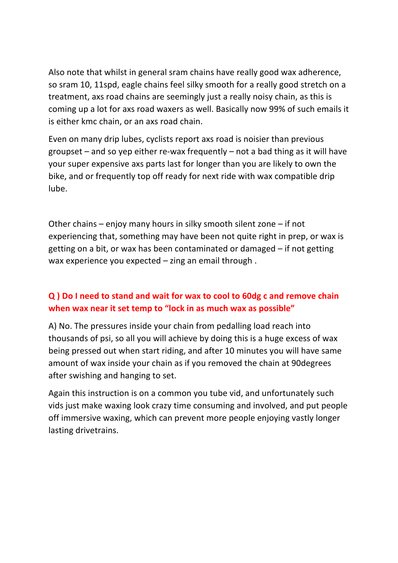Also note that whilst in general sram chains have really good wax adherence, so sram 10, 11spd, eagle chains feel silky smooth for a really good stretch on a treatment, axs road chains are seemingly just a really noisy chain, as this is coming up a lot for axs road waxers as well. Basically now 99% of such emails it is either kmc chain, or an axs road chain.

Even on many drip lubes, cyclists report axs road is noisier than previous groupset – and so yep either re-wax frequently – not a bad thing as it will have your super expensive axs parts last for longer than you are likely to own the bike, and or frequently top off ready for next ride with wax compatible drip lube.

Other chains – enjoy many hours in silky smooth silent zone – if not experiencing that, something may have been not quite right in prep, or wax is getting on a bit, or wax has been contaminated or damaged – if not getting wax experience you expected – zing an email through .

# **Q ) Do I need to stand and wait for wax to cool to 60dg c and remove chain when wax near it set temp to "lock in as much wax as possible"**

A) No. The pressures inside your chain from pedalling load reach into thousands of psi, so all you will achieve by doing this is a huge excess of wax being pressed out when start riding, and after 10 minutes you will have same amount of wax inside your chain as if you removed the chain at 90degrees after swishing and hanging to set.

Again this instruction is on a common you tube vid, and unfortunately such vids just make waxing look crazy time consuming and involved, and put people off immersive waxing, which can prevent more people enjoying vastly longer lasting drivetrains.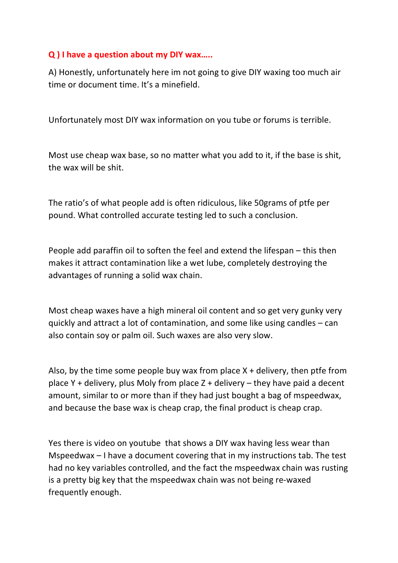## **Q ) I have a question about my DIY wax…..**

A) Honestly, unfortunately here im not going to give DIY waxing too much air time or document time. It's a minefield.

Unfortunately most DIY wax information on you tube or forums is terrible.

Most use cheap wax base, so no matter what you add to it, if the base is shit, the wax will be shit.

The ratio's of what people add is often ridiculous, like 50grams of ptfe per pound. What controlled accurate testing led to such a conclusion.

People add paraffin oil to soften the feel and extend the lifespan – this then makes it attract contamination like a wet lube, completely destroying the advantages of running a solid wax chain.

Most cheap waxes have a high mineral oil content and so get very gunky very quickly and attract a lot of contamination, and some like using candles – can also contain soy or palm oil. Such waxes are also very slow.

Also, by the time some people buy wax from place  $X +$  delivery, then ptfe from place Y + delivery, plus Moly from place  $Z +$  delivery – they have paid a decent amount, similar to or more than if they had just bought a bag of mspeedwax, and because the base wax is cheap crap, the final product is cheap crap.

Yes there is video on youtube that shows a DIY wax having less wear than Mspeedwax – I have a document covering that in my instructions tab. The test had no key variables controlled, and the fact the mspeedwax chain was rusting is a pretty big key that the mspeedwax chain was not being re-waxed frequently enough.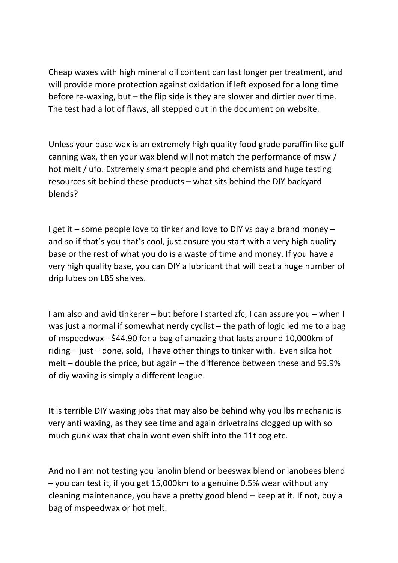Cheap waxes with high mineral oil content can last longer per treatment, and will provide more protection against oxidation if left exposed for a long time before re-waxing, but – the flip side is they are slower and dirtier over time. The test had a lot of flaws, all stepped out in the document on website.

Unless your base wax is an extremely high quality food grade paraffin like gulf canning wax, then your wax blend will not match the performance of msw / hot melt / ufo. Extremely smart people and phd chemists and huge testing resources sit behind these products – what sits behind the DIY backyard blends?

I get it – some people love to tinker and love to DIY vs pay a brand money – and so if that's you that's cool, just ensure you start with a very high quality base or the rest of what you do is a waste of time and money. If you have a very high quality base, you can DIY a lubricant that will beat a huge number of drip lubes on LBS shelves.

I am also and avid tinkerer – but before I started zfc, I can assure you – when I was just a normal if somewhat nerdy cyclist – the path of logic led me to a bag of mspeedwax - \$44.90 for a bag of amazing that lasts around 10,000km of riding – just – done, sold, I have other things to tinker with. Even silca hot melt – double the price, but again – the difference between these and 99.9% of diy waxing is simply a different league.

It is terrible DIY waxing jobs that may also be behind why you lbs mechanic is very anti waxing, as they see time and again drivetrains clogged up with so much gunk wax that chain wont even shift into the 11t cog etc.

And no I am not testing you lanolin blend or beeswax blend or lanobees blend – you can test it, if you get 15,000km to a genuine 0.5% wear without any cleaning maintenance, you have a pretty good blend – keep at it. If not, buy a bag of mspeedwax or hot melt.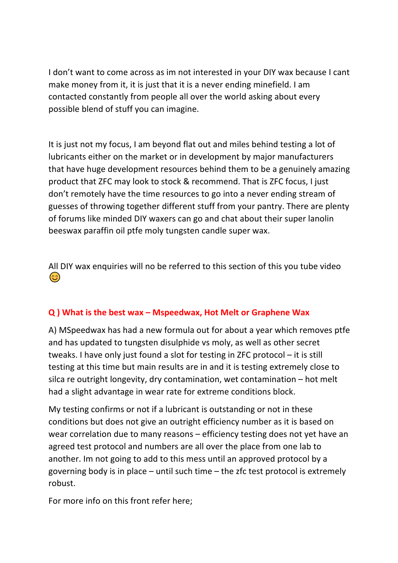I don't want to come across as im not interested in your DIY wax because I cant make money from it, it is just that it is a never ending minefield. I am contacted constantly from people all over the world asking about every possible blend of stuff you can imagine.

It is just not my focus, I am beyond flat out and miles behind testing a lot of lubricants either on the market or in development by major manufacturers that have huge development resources behind them to be a genuinely amazing product that ZFC may look to stock & recommend. That is ZFC focus, I just don't remotely have the time resources to go into a never ending stream of guesses of throwing together different stuff from your pantry. There are plenty of forums like minded DIY waxers can go and chat about their super lanolin beeswax paraffin oil ptfe moly tungsten candle super wax.

All DIY wax enquiries will no be referred to this section of this you tube video  $\odot$ 

## **Q ) What is the best wax – Mspeedwax, Hot Melt or Graphene Wax**

A) MSpeedwax has had a new formula out for about a year which removes ptfe and has updated to tungsten disulphide vs moly, as well as other secret tweaks. I have only just found a slot for testing in ZFC protocol – it is still testing at this time but main results are in and it is testing extremely close to silca re outright longevity, dry contamination, wet contamination – hot melt had a slight advantage in wear rate for extreme conditions block.

My testing confirms or not if a lubricant is outstanding or not in these conditions but does not give an outright efficiency number as it is based on wear correlation due to many reasons – efficiency testing does not yet have an agreed test protocol and numbers are all over the place from one lab to another. Im not going to add to this mess until an approved protocol by a governing body is in place – until such time – the zfc test protocol is extremely robust.

For more info on this front refer here;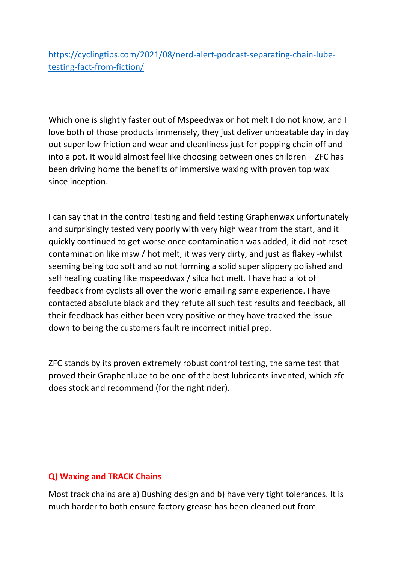https://cyclingtips.com/2021/08/nerd-alert-podcast-separating-chain-lubetesting-fact-from-fiction/

Which one is slightly faster out of Mspeedwax or hot melt I do not know, and I love both of those products immensely, they just deliver unbeatable day in day out super low friction and wear and cleanliness just for popping chain off and into a pot. It would almost feel like choosing between ones children – ZFC has been driving home the benefits of immersive waxing with proven top wax since inception.

I can say that in the control testing and field testing Graphenwax unfortunately and surprisingly tested very poorly with very high wear from the start, and it quickly continued to get worse once contamination was added, it did not reset contamination like msw / hot melt, it was very dirty, and just as flakey -whilst seeming being too soft and so not forming a solid super slippery polished and self healing coating like mspeedwax / silca hot melt. I have had a lot of feedback from cyclists all over the world emailing same experience. I have contacted absolute black and they refute all such test results and feedback, all their feedback has either been very positive or they have tracked the issue down to being the customers fault re incorrect initial prep.

ZFC stands by its proven extremely robust control testing, the same test that proved their Graphenlube to be one of the best lubricants invented, which zfc does stock and recommend (for the right rider).

#### **Q) Waxing and TRACK Chains**

Most track chains are a) Bushing design and b) have very tight tolerances. It is much harder to both ensure factory grease has been cleaned out from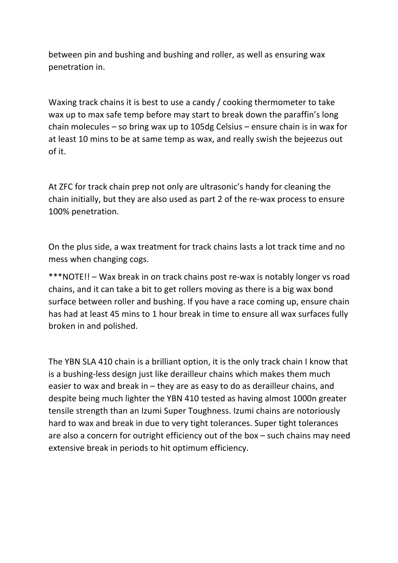between pin and bushing and bushing and roller, as well as ensuring wax penetration in.

Waxing track chains it is best to use a candy / cooking thermometer to take wax up to max safe temp before may start to break down the paraffin's long chain molecules – so bring wax up to 105dg Celsius – ensure chain is in wax for at least 10 mins to be at same temp as wax, and really swish the bejeezus out of it.

At ZFC for track chain prep not only are ultrasonic's handy for cleaning the chain initially, but they are also used as part 2 of the re-wax process to ensure 100% penetration.

On the plus side, a wax treatment for track chains lasts a lot track time and no mess when changing cogs.

\*\*\*NOTE!! – Wax break in on track chains post re-wax is notably longer vs road chains, and it can take a bit to get rollers moving as there is a big wax bond surface between roller and bushing. If you have a race coming up, ensure chain has had at least 45 mins to 1 hour break in time to ensure all wax surfaces fully broken in and polished.

The YBN SLA 410 chain is a brilliant option, it is the only track chain I know that is a bushing-less design just like derailleur chains which makes them much easier to wax and break in – they are as easy to do as derailleur chains, and despite being much lighter the YBN 410 tested as having almost 1000n greater tensile strength than an Izumi Super Toughness. Izumi chains are notoriously hard to wax and break in due to very tight tolerances. Super tight tolerances are also a concern for outright efficiency out of the box – such chains may need extensive break in periods to hit optimum efficiency.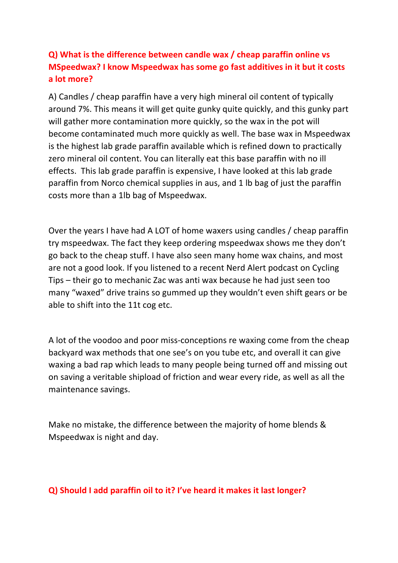# **Q) What is the difference between candle wax / cheap paraffin online vs MSpeedwax? I know Mspeedwax has some go fast additives in it but it costs a lot more?**

A) Candles / cheap paraffin have a very high mineral oil content of typically around 7%. This means it will get quite gunky quite quickly, and this gunky part will gather more contamination more quickly, so the wax in the pot will become contaminated much more quickly as well. The base wax in Mspeedwax is the highest lab grade paraffin available which is refined down to practically zero mineral oil content. You can literally eat this base paraffin with no ill effects. This lab grade paraffin is expensive, I have looked at this lab grade paraffin from Norco chemical supplies in aus, and 1 lb bag of just the paraffin costs more than a 1lb bag of Mspeedwax.

Over the years I have had A LOT of home waxers using candles / cheap paraffin try mspeedwax. The fact they keep ordering mspeedwax shows me they don't go back to the cheap stuff. I have also seen many home wax chains, and most are not a good look. If you listened to a recent Nerd Alert podcast on Cycling Tips – their go to mechanic Zac was anti wax because he had just seen too many "waxed" drive trains so gummed up they wouldn't even shift gears or be able to shift into the 11t cog etc.

A lot of the voodoo and poor miss-conceptions re waxing come from the cheap backyard wax methods that one see's on you tube etc, and overall it can give waxing a bad rap which leads to many people being turned off and missing out on saving a veritable shipload of friction and wear every ride, as well as all the maintenance savings.

Make no mistake, the difference between the majority of home blends & Mspeedwax is night and day.

#### **Q) Should I add paraffin oil to it? I've heard it makes it last longer?**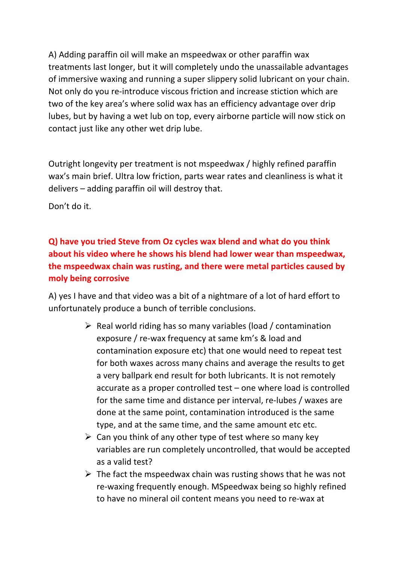A) Adding paraffin oil will make an mspeedwax or other paraffin wax treatments last longer, but it will completely undo the unassailable advantages of immersive waxing and running a super slippery solid lubricant on your chain. Not only do you re-introduce viscous friction and increase stiction which are two of the key area's where solid wax has an efficiency advantage over drip lubes, but by having a wet lub on top, every airborne particle will now stick on contact just like any other wet drip lube.

Outright longevity per treatment is not mspeedwax / highly refined paraffin wax's main brief. Ultra low friction, parts wear rates and cleanliness is what it delivers – adding paraffin oil will destroy that.

Don't do it.

# **Q) have you tried Steve from Oz cycles wax blend and what do you think about his video where he shows his blend had lower wear than mspeedwax, the mspeedwax chain was rusting, and there were metal particles caused by moly being corrosive**

A) yes I have and that video was a bit of a nightmare of a lot of hard effort to unfortunately produce a bunch of terrible conclusions.

- $\triangleright$  Real world riding has so many variables (load / contamination exposure / re-wax frequency at same km's & load and contamination exposure etc) that one would need to repeat test for both waxes across many chains and average the results to get a very ballpark end result for both lubricants. It is not remotely accurate as a proper controlled test – one where load is controlled for the same time and distance per interval, re-lubes / waxes are done at the same point, contamination introduced is the same type, and at the same time, and the same amount etc etc.
- $\triangleright$  Can you think of any other type of test where so many key variables are run completely uncontrolled, that would be accepted as a valid test?
- $\triangleright$  The fact the mspeedwax chain was rusting shows that he was not re-waxing frequently enough. MSpeedwax being so highly refined to have no mineral oil content means you need to re-wax at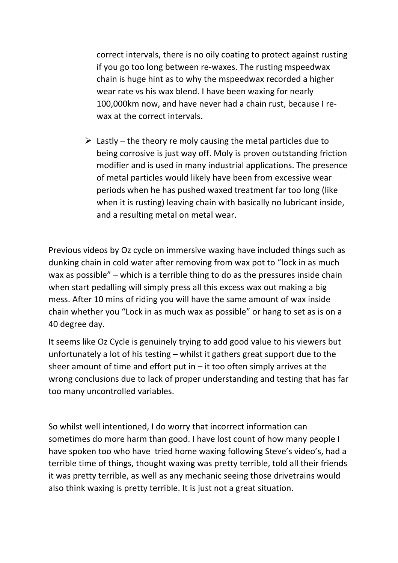correct intervals, there is no oily coating to protect against rusting if you go too long between re-waxes. The rusting mspeedwax chain is huge hint as to why the mspeedwax recorded a higher wear rate vs his wax blend. I have been waxing for nearly 100,000km now, and have never had a chain rust, because I rewax at the correct intervals.

 $\triangleright$  Lastly – the theory re moly causing the metal particles due to being corrosive is just way off. Moly is proven outstanding friction modifier and is used in many industrial applications. The presence of metal particles would likely have been from excessive wear periods when he has pushed waxed treatment far too long (like when it is rusting) leaving chain with basically no lubricant inside, and a resulting metal on metal wear.

Previous videos by Oz cycle on immersive waxing have included things such as dunking chain in cold water after removing from wax pot to "lock in as much wax as possible" – which is a terrible thing to do as the pressures inside chain when start pedalling will simply press all this excess wax out making a big mess. After 10 mins of riding you will have the same amount of wax inside chain whether you "Lock in as much wax as possible" or hang to set as is on a 40 degree day.

It seems like Oz Cycle is genuinely trying to add good value to his viewers but unfortunately a lot of his testing – whilst it gathers great support due to the sheer amount of time and effort put in  $-$  it too often simply arrives at the wrong conclusions due to lack of proper understanding and testing that has far too many uncontrolled variables.

So whilst well intentioned, I do worry that incorrect information can sometimes do more harm than good. I have lost count of how many people I have spoken too who have tried home waxing following Steve's video's, had a terrible time of things, thought waxing was pretty terrible, told all their friends it was pretty terrible, as well as any mechanic seeing those drivetrains would also think waxing is pretty terrible. It is just not a great situation.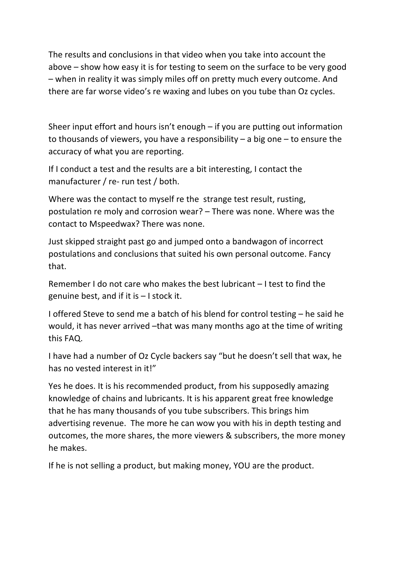The results and conclusions in that video when you take into account the above – show how easy it is for testing to seem on the surface to be very good – when in reality it was simply miles off on pretty much every outcome. And there are far worse video's re waxing and lubes on you tube than Oz cycles.

Sheer input effort and hours isn't enough – if you are putting out information to thousands of viewers, you have a responsibility – a big one – to ensure the accuracy of what you are reporting.

If I conduct a test and the results are a bit interesting, I contact the manufacturer / re- run test / both.

Where was the contact to myself re the strange test result, rusting, postulation re moly and corrosion wear? – There was none. Where was the contact to Mspeedwax? There was none.

Just skipped straight past go and jumped onto a bandwagon of incorrect postulations and conclusions that suited his own personal outcome. Fancy that.

Remember I do not care who makes the best lubricant – I test to find the genuine best, and if it is – I stock it.

I offered Steve to send me a batch of his blend for control testing – he said he would, it has never arrived –that was many months ago at the time of writing this FAQ.

I have had a number of Oz Cycle backers say "but he doesn't sell that wax, he has no vested interest in it!"

Yes he does. It is his recommended product, from his supposedly amazing knowledge of chains and lubricants. It is his apparent great free knowledge that he has many thousands of you tube subscribers. This brings him advertising revenue. The more he can wow you with his in depth testing and outcomes, the more shares, the more viewers & subscribers, the more money he makes.

If he is not selling a product, but making money, YOU are the product.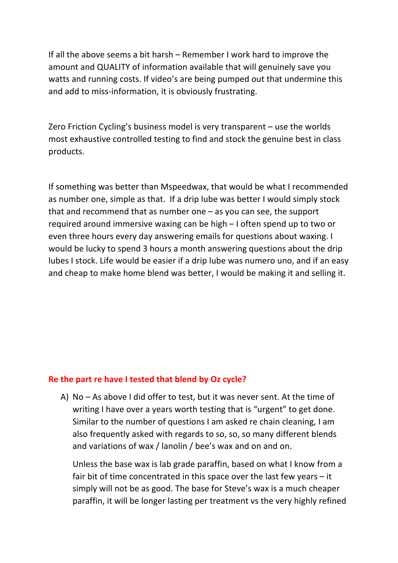If all the above seems a bit harsh – Remember I work hard to improve the amount and QUALITY of information available that will genuinely save you watts and running costs. If video's are being pumped out that undermine this and add to miss-information, it is obviously frustrating.

Zero Friction Cycling's business model is very transparent – use the worlds most exhaustive controlled testing to find and stock the genuine best in class products.

If something was better than Mspeedwax, that would be what I recommended as number one, simple as that. If a drip lube was better I would simply stock that and recommend that as number one – as you can see, the support required around immersive waxing can be high – I often spend up to two or even three hours every day answering emails for questions about waxing. I would be lucky to spend 3 hours a month answering questions about the drip lubes I stock. Life would be easier if a drip lube was numero uno, and if an easy and cheap to make home blend was better, I would be making it and selling it.

#### **Re the part re have I tested that blend by Oz cycle?**

A) No – As above I did offer to test, but it was never sent. At the time of writing I have over a years worth testing that is "urgent" to get done. Similar to the number of questions I am asked re chain cleaning, I am also frequently asked with regards to so, so, so many different blends and variations of wax / lanolin / bee's wax and on and on.

Unless the base wax is lab grade paraffin, based on what I know from a fair bit of time concentrated in this space over the last few years – it simply will not be as good. The base for Steve's wax is a much cheaper paraffin, it will be longer lasting per treatment vs the very highly refined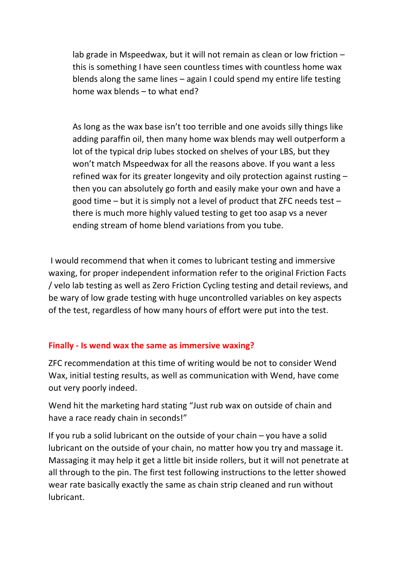lab grade in Mspeedwax, but it will not remain as clean or low friction – this is something I have seen countless times with countless home wax blends along the same lines – again I could spend my entire life testing home wax blends – to what end?

As long as the wax base isn't too terrible and one avoids silly things like adding paraffin oil, then many home wax blends may well outperform a lot of the typical drip lubes stocked on shelves of your LBS, but they won't match Mspeedwax for all the reasons above. If you want a less refined wax for its greater longevity and oily protection against rusting – then you can absolutely go forth and easily make your own and have a good time – but it is simply not a level of product that ZFC needs test – there is much more highly valued testing to get too asap vs a never ending stream of home blend variations from you tube.

I would recommend that when it comes to lubricant testing and immersive waxing, for proper independent information refer to the original Friction Facts / velo lab testing as well as Zero Friction Cycling testing and detail reviews, and be wary of low grade testing with huge uncontrolled variables on key aspects of the test, regardless of how many hours of effort were put into the test.

## **Finally - Is wend wax the same as immersive waxing?**

ZFC recommendation at this time of writing would be not to consider Wend Wax, initial testing results, as well as communication with Wend, have come out very poorly indeed.

Wend hit the marketing hard stating "Just rub wax on outside of chain and have a race ready chain in seconds!"

If you rub a solid lubricant on the outside of your chain – you have a solid lubricant on the outside of your chain, no matter how you try and massage it. Massaging it may help it get a little bit inside rollers, but it will not penetrate at all through to the pin. The first test following instructions to the letter showed wear rate basically exactly the same as chain strip cleaned and run without lubricant.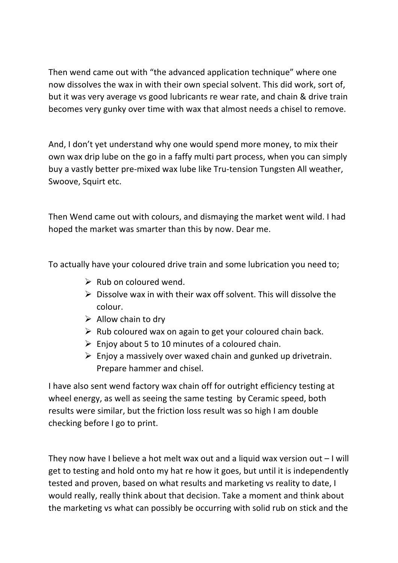Then wend came out with "the advanced application technique" where one now dissolves the wax in with their own special solvent. This did work, sort of, but it was very average vs good lubricants re wear rate, and chain & drive train becomes very gunky over time with wax that almost needs a chisel to remove.

And, I don't yet understand why one would spend more money, to mix their own wax drip lube on the go in a faffy multi part process, when you can simply buy a vastly better pre-mixed wax lube like Tru-tension Tungsten All weather, Swoove, Squirt etc.

Then Wend came out with colours, and dismaying the market went wild. I had hoped the market was smarter than this by now. Dear me.

To actually have your coloured drive train and some lubrication you need to;

- $\triangleright$  Rub on coloured wend.
- $\triangleright$  Dissolve wax in with their wax off solvent. This will dissolve the colour.
- $\triangleright$  Allow chain to dry
- $\triangleright$  Rub coloured wax on again to get your coloured chain back.
- $\triangleright$  Enjoy about 5 to 10 minutes of a coloured chain.
- $\triangleright$  Enjoy a massively over waxed chain and gunked up drivetrain. Prepare hammer and chisel.

I have also sent wend factory wax chain off for outright efficiency testing at wheel energy, as well as seeing the same testing by Ceramic speed, both results were similar, but the friction loss result was so high I am double checking before I go to print.

They now have I believe a hot melt wax out and a liquid wax version out – I will get to testing and hold onto my hat re how it goes, but until it is independently tested and proven, based on what results and marketing vs reality to date, I would really, really think about that decision. Take a moment and think about the marketing vs what can possibly be occurring with solid rub on stick and the